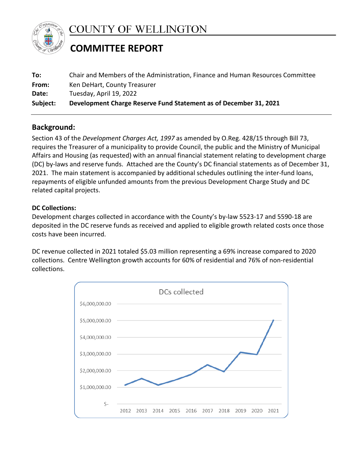

**COUNTY OF WELLINGTON** 

# **COMMITTEE REPORT**

| To:      | Chair and Members of the Administration, Finance and Human Resources Committee |
|----------|--------------------------------------------------------------------------------|
| From:    | Ken DeHart, County Treasurer                                                   |
| Date:    | Tuesday, April 19, 2022                                                        |
| Subject: | Development Charge Reserve Fund Statement as of December 31, 2021              |

# **Background:**

Section 43 of the *Development Charges Act, 1997* as amended by O.Reg. 428/15 through Bill 73, requires the Treasurer of a municipality to provide Council, the public and the Ministry of Municipal Affairs and Housing (as requested) with an annual financial statement relating to development charge (DC) by-laws and reserve funds. Attached are the County's DC financial statements as of December 31, 2021. The main statement is accompanied by additional schedules outlining the inter-fund loans, repayments of eligible unfunded amounts from the previous Development Charge Study and DC related capital projects.

## **DC Collections:**

Development charges collected in accordance with the County's by-law 5523-17 and 5590-18 are deposited in the DC reserve funds as received and applied to eligible growth related costs once those costs have been incurred.

DC revenue collected in 2021 totaled \$5.03 million representing a 69% increase compared to 2020 collections. Centre Wellington growth accounts for 60% of residential and 76% of non-residential collections.

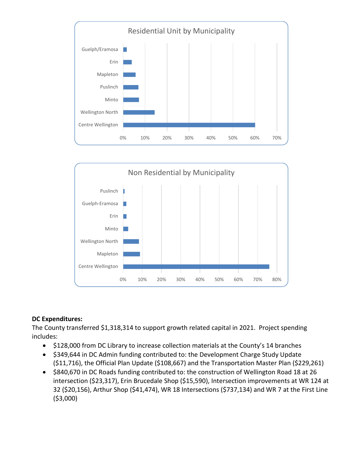



## **DC Expenditures:**

The County transferred \$1,318,314 to support growth related capital in 2021. Project spending includes:

- \$128,000 from DC Library to increase collection materials at the County's 14 branches
- \$349,644 in DC Admin funding contributed to: the Development Charge Study Update (\$11,716), the Official Plan Update (\$108,667) and the Transportation Master Plan (\$229,261)
- \$840,670 in DC Roads funding contributed to: the construction of Wellington Road 18 at 26 intersection (\$23,317), Erin Brucedale Shop (\$15,590), Intersection improvements at WR 124 at 32 (\$20,156), Arthur Shop (\$41,474), WR 18 Intersections (\$737,134) and WR 7 at the First Line (\$3,000)